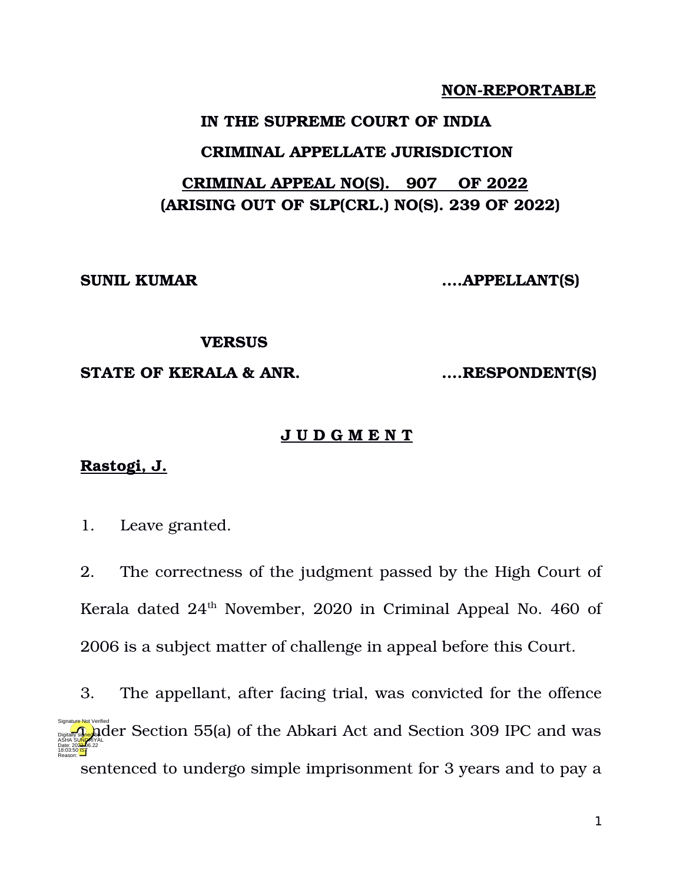# **NON-REPORTABLE**

## **IN THE SUPREME COURT OF INDIA**

### **CRIMINAL APPELLATE JURISDICTION**

# **CRIMINAL APPEAL NO(S). 907 OF 2022 (ARISING OUT OF SLP(CRL.) NO(S). 239 OF 2022)**

**SUNIL KUMAR ….APPELLANT(S)**

### **VERSUS**

### **STATE OF KERALA & ANR. ….RESPONDENT(S)**

### **J U D G M E N T**

# **Rastogi, J.**

1. Leave granted.

2. The correctness of the judgment passed by the High Court of Kerala dated  $24<sup>th</sup>$  November, 2020 in Criminal Appeal No. 460 of 2006 is a subject matter of challenge in appeal before this Court.

3. The appellant, after facing trial, was convicted for the offence  $\frac{1}{2}$  der Section 55(a) of the Abkari Act and Section 309 IPC and was sentenced to undergo simple imprisonment for 3 years and to pay a ASHA SU<mark>NDR</mark>IYAL Date: 2022.06.22 18:03:50 **IST** Reason: Signature Not Verified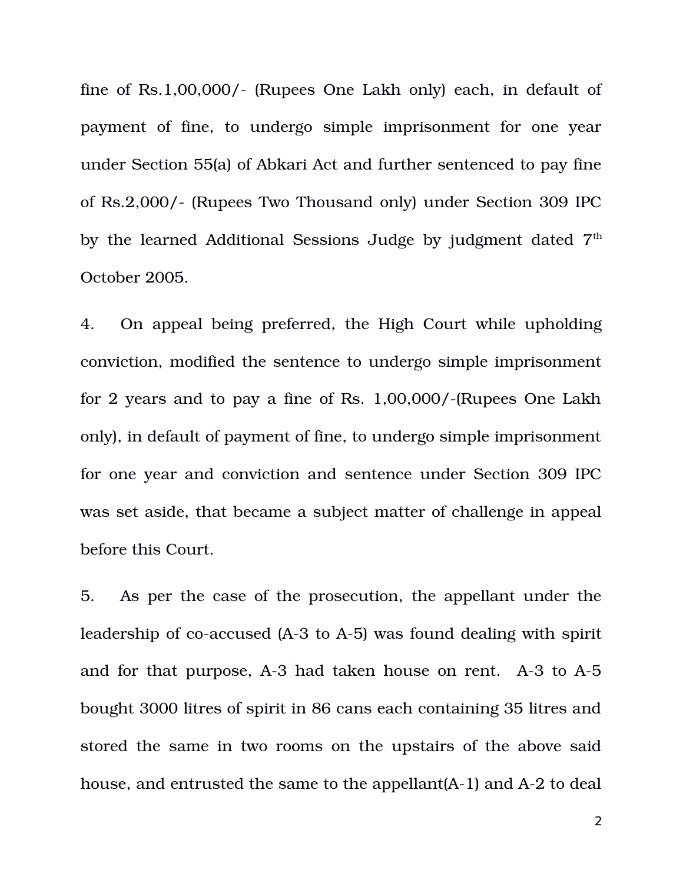fine of Rs.1,00,000/ (Rupees One Lakh only) each, in default of payment of fine, to undergo simple imprisonment for one year under Section 55(a) of Abkari Act and further sentenced to pay fine of Rs.2,000/- (Rupees Two Thousand only) under Section 309 IPC by the learned Additional Sessions Judge by judgment dated 7<sup>th</sup> October 2005.

4. On appeal being preferred, the High Court while upholding conviction, modified the sentence to undergo simple imprisonment for 2 years and to pay a fine of Rs.  $1,00,000/$ -(Rupees One Lakh only), in default of payment of fine, to undergo simple imprisonment for one year and conviction and sentence under Section 309 IPC was set aside, that became a subject matter of challenge in appeal before this Court.

5. As per the case of the prosecution, the appellant under the leadership of co-accused (A-3 to A-5) was found dealing with spirit and for that purpose,  $A-3$  had taken house on rent.  $A-3$  to  $A-5$ bought 3000 litres of spirit in 86 cans each containing 35 litres and stored the same in two rooms on the upstairs of the above said house, and entrusted the same to the appellant  $(A-1)$  and  $A-2$  to deal

2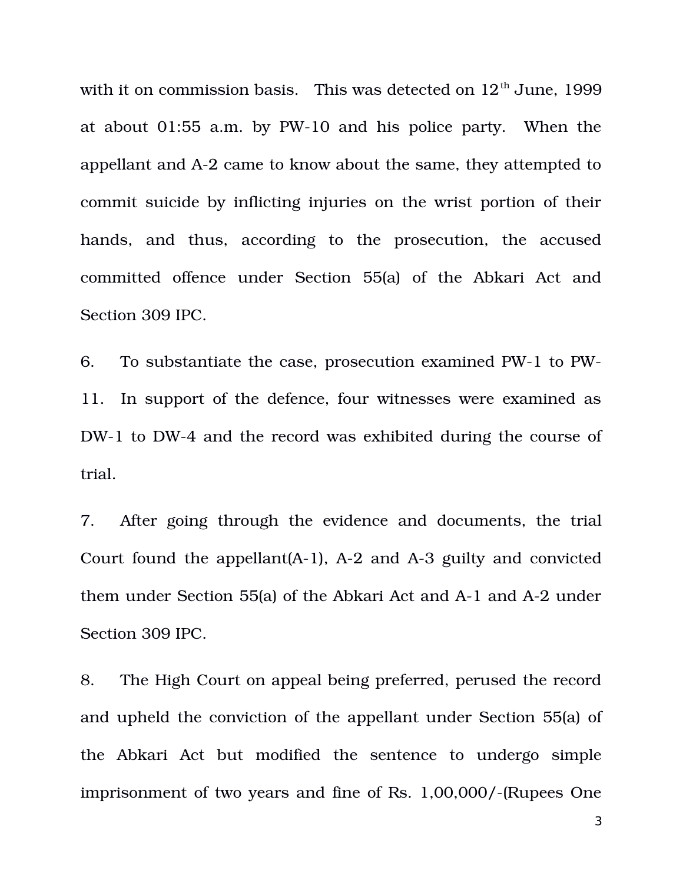with it on commission basis. This was detected on  $12<sup>th</sup>$  June, 1999 at about  $01:55$  a.m. by PW-10 and his police party. When the appellant and A2 came to know about the same, they attempted to commit suicide by inflicting injuries on the wrist portion of their hands, and thus, according to the prosecution, the accused committed offence under Section 55(a) of the Abkari Act and Section 309 IPC.

6. To substantiate the case, prosecution examined PW-1 to PW-11. In support of the defence, four witnesses were examined as DW-1 to DW-4 and the record was exhibited during the course of trial.

7. After going through the evidence and documents, the trial Court found the appellant  $(A-1)$ ,  $A-2$  and  $A-3$  guilty and convicted them under Section 55(a) of the Abkari Act and A-1 and A-2 under Section 309 IPC.

8. The High Court on appeal being preferred, perused the record and upheld the conviction of the appellant under Section 55(a) of the Abkari Act but modified the sentence to undergo simple imprisonment of two years and fine of Rs. 1,00,000/-(Rupees One

3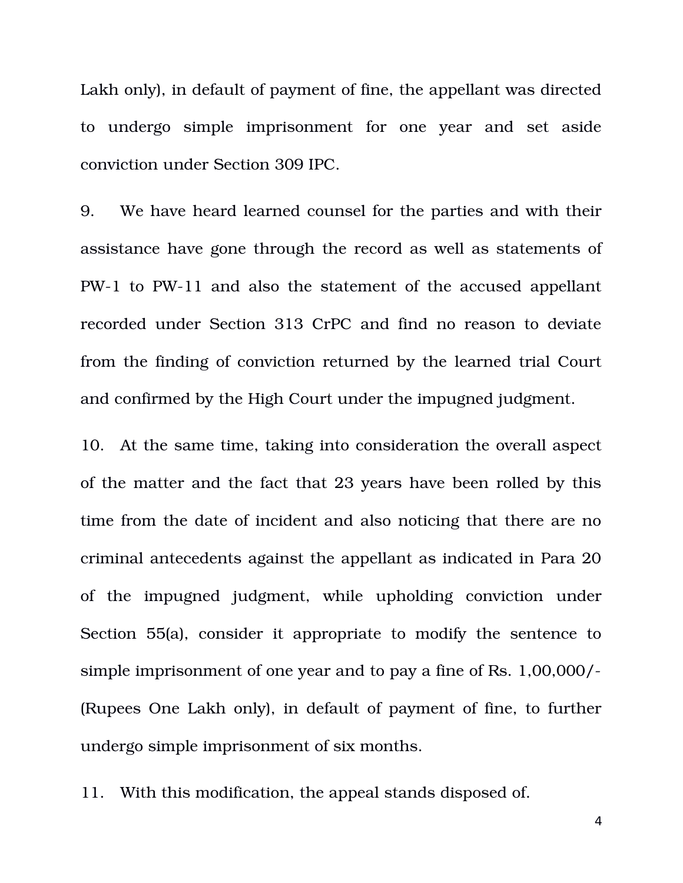Lakh only), in default of payment of fine, the appellant was directed to undergo simple imprisonment for one year and set aside conviction under Section 309 IPC.

9. We have heard learned counsel for the parties and with their assistance have gone through the record as well as statements of PW1 to PW11 and also the statement of the accused appellant recorded under Section 313 CrPC and find no reason to deviate from the finding of conviction returned by the learned trial Court and confirmed by the High Court under the impugned judgment.

10. At the same time, taking into consideration the overall aspect of the matter and the fact that 23 years have been rolled by this time from the date of incident and also noticing that there are no criminal antecedents against the appellant as indicated in Para 20 of the impugned judgment, while upholding conviction under Section 55(a), consider it appropriate to modify the sentence to simple imprisonment of one year and to pay a fine of Rs. 1,00,000/ (Rupees One Lakh only), in default of payment of fine, to further undergo simple imprisonment of six months.

11. With this modification, the appeal stands disposed of.

4